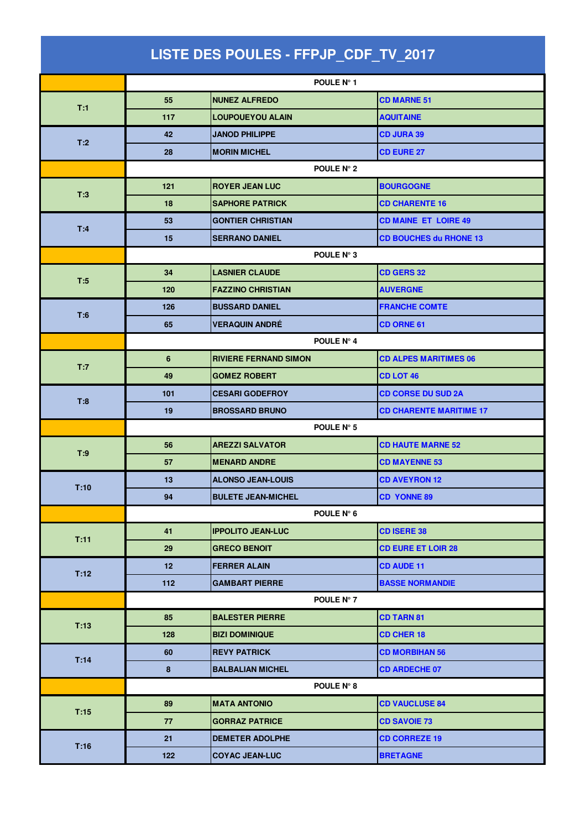| LISTE DES POULES - FFPJP_CDF_TV_2017 |                 |                              |                                |  |
|--------------------------------------|-----------------|------------------------------|--------------------------------|--|
|                                      |                 | POULE N° 1                   |                                |  |
|                                      | 55              | <b>NUNEZ ALFREDO</b>         | <b>CD MARNE 51</b>             |  |
| T:1                                  | 117             | <b>LOUPOUEYOU ALAIN</b>      | <b>AQUITAINE</b>               |  |
|                                      | 42              | <b>JANOD PHILIPPE</b>        | <b>CD JURA 39</b>              |  |
| T:2                                  | 28              | <b>MORIN MICHEL</b>          | <b>CD EURE 27</b>              |  |
|                                      | POULE N° 2      |                              |                                |  |
|                                      | 121             | <b>ROYER JEAN LUC</b>        | <b>BOURGOGNE</b>               |  |
| T:3                                  | 18              | <b>SAPHORE PATRICK</b>       | <b>CD CHARENTE 16</b>          |  |
| T:4                                  | 53              | <b>GONTIER CHRISTIAN</b>     | <b>CD MAINE ET LOIRE 49</b>    |  |
|                                      | 15              | <b>SERRANO DANIEL</b>        | <b>CD BOUCHES du RHONE 13</b>  |  |
|                                      |                 | POULE N° 3                   |                                |  |
| T:5                                  | 34              | <b>LASNIER CLAUDE</b>        | <b>CD GERS 32</b>              |  |
|                                      | 120             | <b>FAZZINO CHRISTIAN</b>     | <b>AUVERGNE</b>                |  |
| T:6                                  | 126             | <b>BUSSARD DANIEL</b>        | <b>FRANCHE COMTE</b>           |  |
|                                      | 65              | <b>VERAQUIN ANDRÉ</b>        | <b>CD ORNE 61</b>              |  |
|                                      | POULE N° 4      |                              |                                |  |
| T:7                                  | 6               | <b>RIVIERE FERNAND SIMON</b> | <b>CD ALPES MARITIMES 06</b>   |  |
|                                      | 49              | <b>GOMEZ ROBERT</b>          | <b>CD LOT 46</b>               |  |
| T:8                                  | 101             | <b>CESARI GODEFROY</b>       | <b>CD CORSE DU SUD 2A</b>      |  |
|                                      | 19              | <b>BROSSARD BRUNO</b>        | <b>CD CHARENTE MARITIME 17</b> |  |
|                                      | POULE N° 5      |                              |                                |  |
| T:9                                  | 56              | <b>AREZZI SALVATOR</b>       | <b>CD HAUTE MARNE 52</b>       |  |
|                                      | 57              | <b>MENARD ANDRE</b>          | <b>CD MAYENNE 53</b>           |  |
| T:10                                 | 13.             | <b>ALONSO JEAN-LOUIS</b>     | <b>CD AVEYRON 12</b>           |  |
|                                      | 94              | <b>BULETE JEAN-MICHEL</b>    | <b>CD YONNE 89</b>             |  |
|                                      |                 | POULE N° 6                   |                                |  |
| T:11                                 | 41              | <b>IPPOLITO JEAN-LUC</b>     | <b>CD ISERE 38</b>             |  |
|                                      | 29              | <b>GRECO BENOIT</b>          | <b>CD EURE ET LOIR 28</b>      |  |
| T:12                                 | 12 <sub>2</sub> | <b>FERRER ALAIN</b>          | <b>CD AUDE 11</b>              |  |
|                                      | 112             | <b>GAMBART PIERRE</b>        | <b>BASSE NORMANDIE</b>         |  |
|                                      |                 | POULE N° 7                   |                                |  |
| T:13                                 | 85              | <b>BALESTER PIERRE</b>       | <b>CD TARN 81</b>              |  |
|                                      | 128             | <b>BIZI DOMINIQUE</b>        | <b>CD CHER 18</b>              |  |
| T:14                                 | 60              | <b>REVY PATRICK</b>          | <b>CD MORBIHAN 56</b>          |  |
|                                      | $\bf8$          | <b>BALBALIAN MICHEL</b>      | <b>CD ARDECHE 07</b>           |  |
|                                      |                 | POULE N° 8                   |                                |  |
| T:15                                 | 89              | <b>MATA ANTONIO</b>          | <b>CD VAUCLUSE 84</b>          |  |
|                                      | 77              | <b>GORRAZ PATRICE</b>        | <b>CD SAVOIE 73</b>            |  |
| T:16                                 | 21              | <b>DEMETER ADOLPHE</b>       | <b>CD CORREZE 19</b>           |  |
|                                      | 122             | <b>COYAC JEAN-LUC</b>        | <b>BRETAGNE</b>                |  |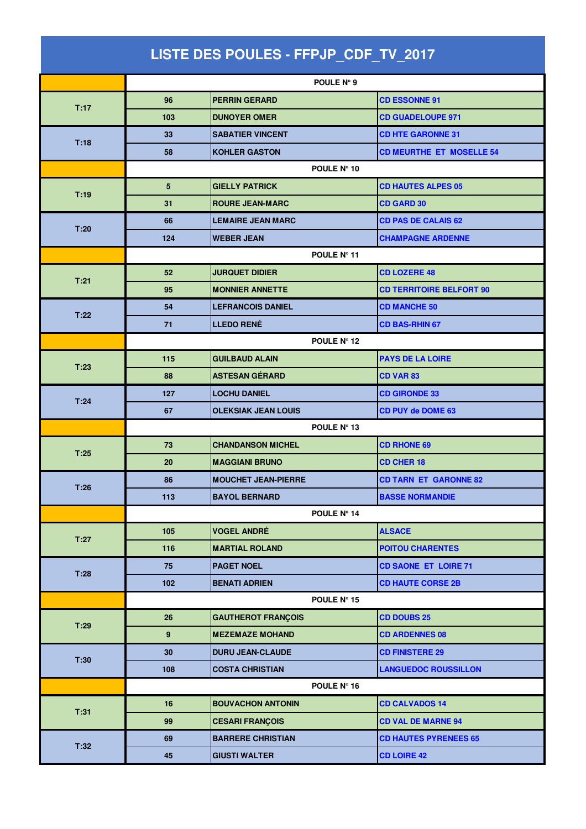| LISTE DES POULES - FFPJP_CDF_TV_2017 |                      |                            |                                 |  |  |
|--------------------------------------|----------------------|----------------------------|---------------------------------|--|--|
|                                      |                      | POULE N° 9                 |                                 |  |  |
|                                      | 96                   | <b>PERRIN GERARD</b>       | <b>CD ESSONNE 91</b>            |  |  |
| T:17                                 | 103                  | <b>DUNOYER OMER</b>        | <b>CD GUADELOUPE 971</b>        |  |  |
|                                      | 33                   | <b>SABATIER VINCENT</b>    | <b>CD HTE GARONNE 31</b>        |  |  |
| T:18                                 | 58                   | <b>KOHLER GASTON</b>       | <b>CD MEURTHE ET MOSELLE 54</b> |  |  |
|                                      | POULE N° 10          |                            |                                 |  |  |
|                                      | 5                    | <b>GIELLY PATRICK</b>      | <b>CD HAUTES ALPES 05</b>       |  |  |
| T:19                                 | 31                   | <b>ROURE JEAN-MARC</b>     | <b>CD GARD 30</b>               |  |  |
| T:20                                 | 66                   | <b>LEMAIRE JEAN MARC</b>   | <b>CD PAS DE CALAIS 62</b>      |  |  |
|                                      | 124                  | <b>WEBER JEAN</b>          | <b>CHAMPAGNE ARDENNE</b>        |  |  |
|                                      |                      | POULE N° 11                |                                 |  |  |
| T:21                                 | 52                   | <b>JURQUET DIDIER</b>      | <b>CD LOZERE 48</b>             |  |  |
|                                      | 95                   | <b>MONNIER ANNETTE</b>     | <b>CD TERRITOIRE BELFORT 90</b> |  |  |
|                                      | 54                   | <b>LEFRANCOIS DANIEL</b>   | <b>CD MANCHE 50</b>             |  |  |
| T:22                                 | 71                   | <b>LLEDO RENÉ</b>          | <b>CD BAS-RHIN 67</b>           |  |  |
|                                      | POULE N° 12          |                            |                                 |  |  |
| T:23                                 | 115                  | <b>GUILBAUD ALAIN</b>      | <b>PAYS DE LA LOIRE</b>         |  |  |
|                                      | 88                   | <b>ASTESAN GÉRARD</b>      | <b>CD VAR 83</b>                |  |  |
| T:24                                 | 127                  | <b>LOCHU DANIEL</b>        | <b>CD GIRONDE 33</b>            |  |  |
|                                      | 67                   | <b>OLEKSIAK JEAN LOUIS</b> | <b>CD PUY de DOME 63</b>        |  |  |
|                                      | POULE N° 13          |                            |                                 |  |  |
| T:25                                 | 73                   | <b>CHANDANSON MICHEL</b>   | <b>CD RHONE 69</b>              |  |  |
|                                      | 20                   | <b>MAGGIANI BRUNO</b>      | <b>CD CHER 18</b>               |  |  |
| T:26                                 | 86                   | <b>MOUCHET JEAN-PIERRE</b> | <b>CD TARN ET GARONNE 82</b>    |  |  |
|                                      | 113                  | <b>BAYOL BERNARD</b>       | <b>BASSE NORMANDIE</b>          |  |  |
|                                      |                      | POULE N° 14                |                                 |  |  |
| T:27                                 | 105                  | <b>VOGEL ANDRÉ</b>         | <b>ALSACE</b>                   |  |  |
|                                      | 116                  | <b>MARTIAL ROLAND</b>      | <b>POITOU CHARENTES</b>         |  |  |
| T:28                                 | 75                   | <b>PAGET NOEL</b>          | <b>CD SAONE ET LOIRE 71</b>     |  |  |
|                                      | 102                  | <b>BENATI ADRIEN</b>       | <b>CD HAUTE CORSE 2B</b>        |  |  |
|                                      |                      | POULE $N^{\circ}$ 15       |                                 |  |  |
| T:29                                 | 26                   | <b>GAUTHEROT FRANÇOIS</b>  | <b>CD DOUBS 25</b>              |  |  |
|                                      | 9                    | <b>MEZEMAZE MOHAND</b>     | <b>CD ARDENNES 08</b>           |  |  |
| T:30                                 | 30                   | <b>DURU JEAN-CLAUDE</b>    | <b>CD FINISTERE 29</b>          |  |  |
|                                      | 108                  | <b>COSTA CHRISTIAN</b>     | <b>LANGUEDOC ROUSSILLON</b>     |  |  |
|                                      | POULE $N^{\circ}$ 16 |                            |                                 |  |  |
| T:31                                 | 16                   | <b>BOUVACHON ANTONIN</b>   | <b>CD CALVADOS 14</b>           |  |  |
|                                      | 99                   | <b>CESARI FRANÇOIS</b>     | <b>CD VAL DE MARNE 94</b>       |  |  |
| T:32                                 | 69                   | <b>BARRERE CHRISTIAN</b>   | <b>CD HAUTES PYRENEES 65</b>    |  |  |
|                                      | 45                   | <b>GIUSTI WALTER</b>       | <b>CD LOIRE 42</b>              |  |  |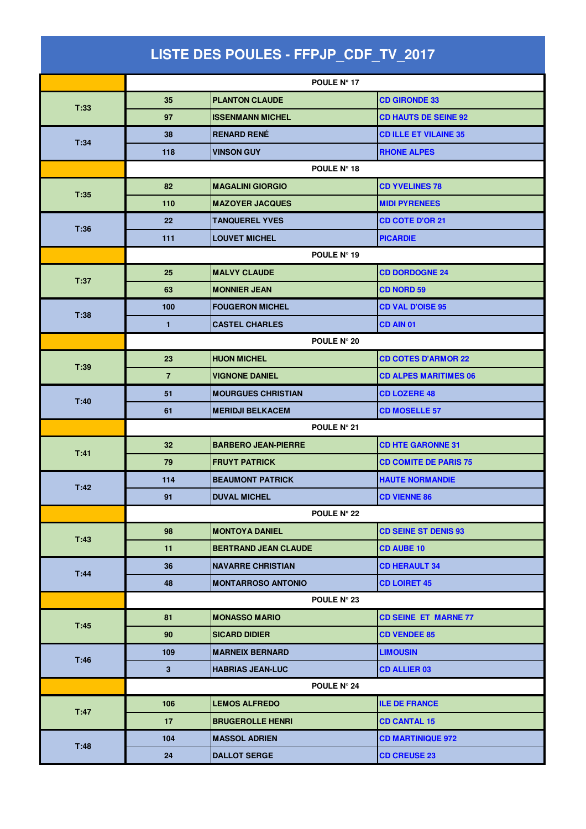| LISTE DES POULES - FFPJP_CDF_TV_2017 |                   |                             |                              |  |  |
|--------------------------------------|-------------------|-----------------------------|------------------------------|--|--|
|                                      |                   | POULE Nº 17                 |                              |  |  |
|                                      | 35                | <b>PLANTON CLAUDE</b>       | <b>CD GIRONDE 33</b>         |  |  |
| T:33                                 | 97                | <b>ISSENMANN MICHEL</b>     | <b>CD HAUTS DE SEINE 92</b>  |  |  |
|                                      | 38                | <b>RENARD RENÉ</b>          | <b>CD ILLE ET VILAINE 35</b> |  |  |
| T:34                                 | 118               | <b>VINSON GUY</b>           | <b>RHONE ALPES</b>           |  |  |
|                                      | POULE N° 18       |                             |                              |  |  |
|                                      | 82                | <b>MAGALINI GIORGIO</b>     | <b>CD YVELINES 78</b>        |  |  |
| T:35                                 | 110               | <b>MAZOYER JACQUES</b>      | <b>MIDI PYRENEES</b>         |  |  |
|                                      | $22 \overline{ }$ | <b>TANQUEREL YVES</b>       | <b>CD COTE D'OR 21</b>       |  |  |
| T:36                                 | 111               | <b>LOUVET MICHEL</b>        | <b>PICARDIE</b>              |  |  |
|                                      | POULE N° 19       |                             |                              |  |  |
|                                      | 25                | <b>MALVY CLAUDE</b>         | <b>CD DORDOGNE 24</b>        |  |  |
| T:37                                 | 63                | <b>MONNIER JEAN</b>         | <b>CD NORD 59</b>            |  |  |
|                                      | 100               | <b>FOUGERON MICHEL</b>      | <b>CD VAL D'OISE 95</b>      |  |  |
| T:38                                 | 1                 | <b>CASTEL CHARLES</b>       | CD AIN 01                    |  |  |
|                                      |                   | POULE N° 20                 |                              |  |  |
|                                      | 23                | <b>HUON MICHEL</b>          | <b>CD COTES D'ARMOR 22</b>   |  |  |
| T:39                                 | $\overline{7}$    | <b>VIGNONE DANIEL</b>       | <b>CD ALPES MARITIMES 06</b> |  |  |
|                                      | 51                | <b>MOURGUES CHRISTIAN</b>   | <b>CD LOZERE 48</b>          |  |  |
| T:40                                 | 61                | <b>MERIDJI BELKACEM</b>     | <b>CD MOSELLE 57</b>         |  |  |
|                                      |                   | POULE N° 21                 |                              |  |  |
|                                      | 32 <sub>2</sub>   | <b>BARBERO JEAN-PIERRE</b>  | <b>CD HTE GARONNE 31</b>     |  |  |
| T:41                                 | 79                | <b>FRUYT PATRICK</b>        | <b>CD COMITE DE PARIS 75</b> |  |  |
|                                      | 114               | <b>BEAUMONT PATRICK</b>     | <b>HAUTE NORMANDIE</b>       |  |  |
| T:42                                 | 91                | <b>DUVAL MICHEL</b>         | <b>CD VIENNE 86</b>          |  |  |
|                                      |                   | POULE N° 22                 |                              |  |  |
|                                      | 98                | <b>MONTOYA DANIEL</b>       | <b>CD SEINE ST DENIS 93</b>  |  |  |
| T:43                                 | 11                | <b>BERTRAND JEAN CLAUDE</b> | <b>CD AUBE 10</b>            |  |  |
|                                      | 36                | <b>NAVARRE CHRISTIAN</b>    | <b>CD HERAULT 34</b>         |  |  |
| T:44                                 | 48                | <b>MONTARROSO ANTONIO</b>   | <b>CD LOIRET 45</b>          |  |  |
|                                      |                   | POULE N° 23                 |                              |  |  |
|                                      | 81                | <b>MONASSO MARIO</b>        | <b>CD SEINE ET MARNE 77</b>  |  |  |
| T:45                                 | 90                | <b>SICARD DIDIER</b>        | <b>CD VENDEE 85</b>          |  |  |
| T:46                                 | 109               | <b>MARNEIX BERNARD</b>      | <b>LIMOUSIN</b>              |  |  |
|                                      | $\mathbf{3}$      | <b>HABRIAS JEAN-LUC</b>     | <b>CD ALLIER 03</b>          |  |  |
|                                      | POULE N° 24       |                             |                              |  |  |
| T:47                                 | 106               | <b>LEMOS ALFREDO</b>        | <b>ILE DE FRANCE</b>         |  |  |
|                                      | 17                | <b>BRUGEROLLE HENRI</b>     | <b>CD CANTAL 15</b>          |  |  |
| T:48                                 | 104               | <b>MASSOL ADRIEN</b>        | <b>CD MARTINIQUE 972</b>     |  |  |
|                                      | 24                | <b>DALLOT SERGE</b>         | <b>CD CREUSE 23</b>          |  |  |